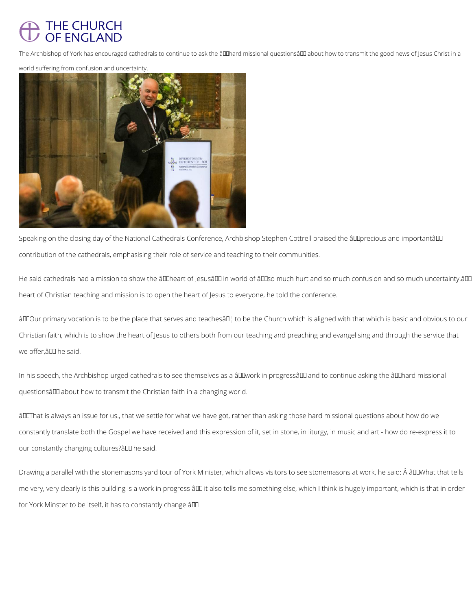## THE CHURCH<br>OF ENGLAND

The Archbishop of York has encouraged cathedrals to continue to ask the âll aboral missional questionsâ all about how to transmit the good news of Jesus Christ in a

DIFFERENT CHURCH

world suffering from confusion and uncertainty.

Speaking on the closing day of the National Cathedrals Conference, Archbishop Stephen Cottrell praised the âll precious and importantâl II contribution of the cathedrals, emphasising their role of service and teaching to their communities.

He said cathedrals had a mission to show the âlllheart of Jesusâlll in world of âlllso much hurt and so much confusion and so much uncertainty.âll heart of Christian teaching and mission is to open the heart of Jesus to everyone, he told the conference.

âDDOur primary vocation is to be the place that serves and teachesâD, to be the Church which is aligned with that which is basic and obvious to our Christian faith, which is to show the heart of Jesus to others both from our teaching and preaching and evangelising and through the service that we offer, â DD he said.

In his speech, the Archbishop urged cathedrals to see themselves as a âDDwork in progressâDD and to continue asking the âDDhard missional questionsâ D about how to transmit the Christian faith in a changing world.

âLLThat is always an issue for us., that we settle for what we have got, rather than asking those hard missional questions about how do we constantly translate both the Gospel we have received and this expression of it, set in stone, in liturgy, in music and art - how do re-express it to our constantly changing cultures? all the said.



Drawing a parallel with the stonemasons yard tour of York Minister, which allows visitors to see stonemasons at work, he said: Â âDDWhat that tells

me very, very clearly is this building is a work in progress ând it also tells me something else, which I think is hugely important, which is that in order

for York Minster to be itself, it has to constantly change. $\hat{a}$ III